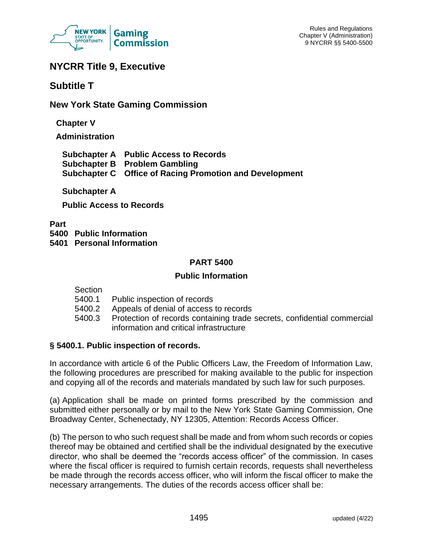

# **NYCRR Title 9, Executive**

# **Subtitle T**

# **New York State Gaming Commission**

**Chapter V**

**Administration**

| <b>Subchapter A</b> Public Access to Records            |
|---------------------------------------------------------|
| <b>Subchapter B</b> Problem Gambling                    |
| Subchapter C Office of Racing Promotion and Development |

# **Subchapter A**

**Public Access to Records**

**Part**

**5400 Public Information**

**5401 Personal Information**

## **PART 5400**

### **Public Information**

Section

- 5400.1 Public inspection of records
- 5400.2 Appeals of denial of access to records
- 5400.3 Protection of records containing trade secrets, confidential commercial information and critical infrastructure

# **§ 5400.1. Public inspection of records.**

In accordance with article 6 of the Public Officers Law, the Freedom of Information Law, the following procedures are prescribed for making available to the public for inspection and copying all of the records and materials mandated by such law for such purposes.

(a) Application shall be made on printed forms prescribed by the commission and submitted either personally or by mail to the New York State Gaming Commission, One Broadway Center, Schenectady, NY 12305, Attention: Records Access Officer.

(b) The person to who such request shall be made and from whom such records or copies thereof may be obtained and certified shall be the individual designated by the executive director, who shall be deemed the "records access officer" of the commission. In cases where the fiscal officer is required to furnish certain records, requests shall nevertheless be made through the records access officer, who will inform the fiscal officer to make the necessary arrangements. The duties of the records access officer shall be: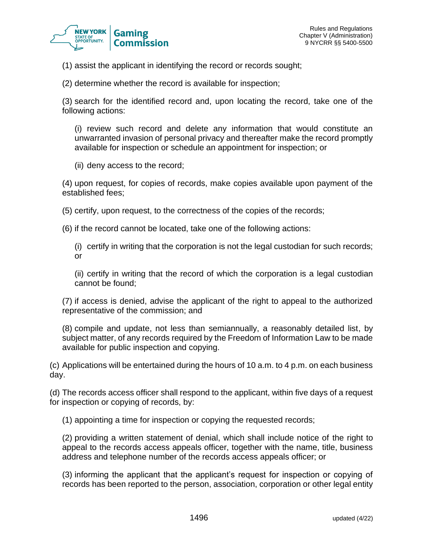

(1) assist the applicant in identifying the record or records sought;

(2) determine whether the record is available for inspection;

(3) search for the identified record and, upon locating the record, take one of the following actions:

(i) review such record and delete any information that would constitute an unwarranted invasion of personal privacy and thereafter make the record promptly available for inspection or schedule an appointment for inspection; or

(ii) deny access to the record;

(4) upon request, for copies of records, make copies available upon payment of the established fees;

(5) certify, upon request, to the correctness of the copies of the records;

(6) if the record cannot be located, take one of the following actions:

(i) certify in writing that the corporation is not the legal custodian for such records; or

(ii) certify in writing that the record of which the corporation is a legal custodian cannot be found;

(7) if access is denied, advise the applicant of the right to appeal to the authorized representative of the commission; and

(8) compile and update, not less than semiannually, a reasonably detailed list, by subject matter, of any records required by the Freedom of Information Law to be made available for public inspection and copying.

(c) Applications will be entertained during the hours of 10 a.m. to 4 p.m. on each business day.

(d) The records access officer shall respond to the applicant, within five days of a request for inspection or copying of records, by:

(1) appointing a time for inspection or copying the requested records;

(2) providing a written statement of denial, which shall include notice of the right to appeal to the records access appeals officer, together with the name, title, business address and telephone number of the records access appeals officer; or

(3) informing the applicant that the applicant's request for inspection or copying of records has been reported to the person, association, corporation or other legal entity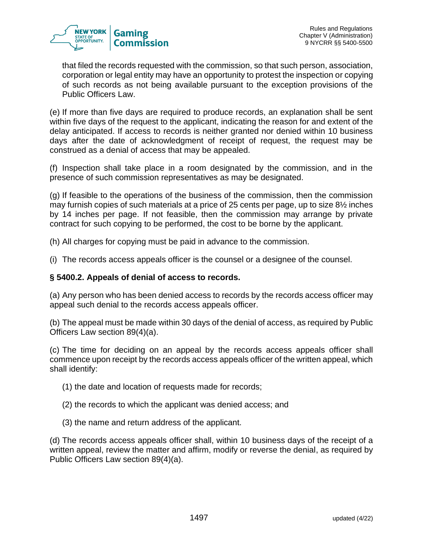

that filed the records requested with the commission, so that such person, association, corporation or legal entity may have an opportunity to protest the inspection or copying of such records as not being available pursuant to the exception provisions of the Public Officers Law.

(e) If more than five days are required to produce records, an explanation shall be sent within five days of the request to the applicant, indicating the reason for and extent of the delay anticipated. If access to records is neither granted nor denied within 10 business days after the date of acknowledgment of receipt of request, the request may be construed as a denial of access that may be appealed.

(f) Inspection shall take place in a room designated by the commission, and in the presence of such commission representatives as may be designated.

(g) If feasible to the operations of the business of the commission, then the commission may furnish copies of such materials at a price of 25 cents per page, up to size 8½ inches by 14 inches per page. If not feasible, then the commission may arrange by private contract for such copying to be performed, the cost to be borne by the applicant.

(h) All charges for copying must be paid in advance to the commission.

(i) The records access appeals officer is the counsel or a designee of the counsel.

#### **§ 5400.2. Appeals of denial of access to records.**

(a) Any person who has been denied access to records by the records access officer may appeal such denial to the records access appeals officer.

(b) The appeal must be made within 30 days of the denial of access, as required by Public Officers Law section 89(4)(a).

(c) The time for deciding on an appeal by the records access appeals officer shall commence upon receipt by the records access appeals officer of the written appeal, which shall identify:

(1) the date and location of requests made for records;

- (2) the records to which the applicant was denied access; and
- (3) the name and return address of the applicant.

(d) The records access appeals officer shall, within 10 business days of the receipt of a written appeal, review the matter and affirm, modify or reverse the denial, as required by Public Officers Law section 89(4)(a).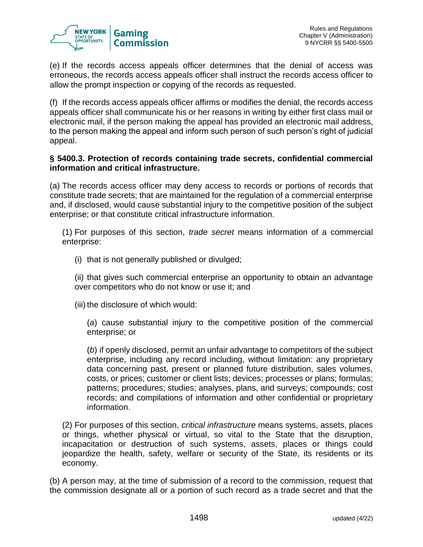

(e) If the records access appeals officer determines that the denial of access was erroneous, the records access appeals officer shall instruct the records access officer to allow the prompt inspection or copying of the records as requested.

(f) If the records access appeals officer affirms or modifies the denial, the records access appeals officer shall communicate his or her reasons in writing by either first class mail or electronic mail, if the person making the appeal has provided an electronic mail address, to the person making the appeal and inform such person of such person's right of judicial appeal.

### **§ 5400.3. Protection of records containing trade secrets, confidential commercial information and critical infrastructure.**

(a) The records access officer may deny access to records or portions of records that constitute trade secrets; that are maintained for the regulation of a commercial enterprise and, if disclosed, would cause substantial injury to the competitive position of the subject enterprise; or that constitute critical infrastructure information.

(1) For purposes of this section, *trade secret* means information of a commercial enterprise:

(i) that is not generally published or divulged;

(ii) that gives such commercial enterprise an opportunity to obtain an advantage over competitors who do not know or use it; and

(iii) the disclosure of which would:

(*a*) cause substantial injury to the competitive position of the commercial enterprise; or

(*b*) if openly disclosed, permit an unfair advantage to competitors of the subject enterprise, including any record including, without limitation: any proprietary data concerning past, present or planned future distribution, sales volumes, costs, or prices; customer or client lists; devices; processes or plans; formulas; patterns; procedures; studies; analyses, plans, and surveys; compounds; cost records; and compilations of information and other confidential or proprietary information.

(2) For purposes of this section, *critical infrastructure* means systems, assets, places or things, whether physical or virtual, so vital to the State that the disruption, incapacitation or destruction of such systems, assets, places or things could jeopardize the health, safety, welfare or security of the State, its residents or its economy.

(b) A person may, at the time of submission of a record to the commission, request that the commission designate all or a portion of such record as a trade secret and that the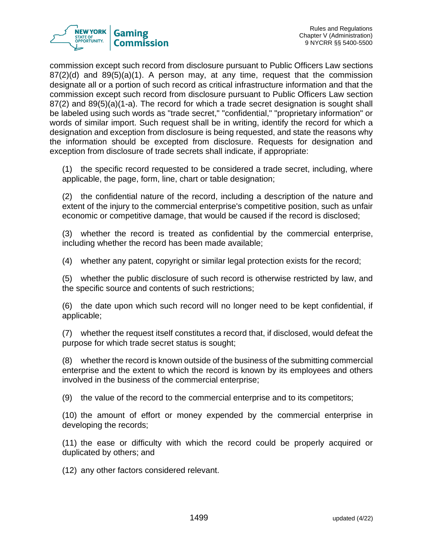

commission except such record from disclosure pursuant to Public Officers Law sections  $87(2)(d)$  and  $89(5)(a)(1)$ . A person may, at any time, request that the commission designate all or a portion of such record as critical infrastructure information and that the commission except such record from disclosure pursuant to Public Officers Law section 87(2) and 89(5)(a)(1-a). The record for which a trade secret designation is sought shall be labeled using such words as "trade secret," "confidential," "proprietary information" or words of similar import. Such request shall be in writing, identify the record for which a designation and exception from disclosure is being requested, and state the reasons why the information should be excepted from disclosure. Requests for designation and exception from disclosure of trade secrets shall indicate, if appropriate:

(1) the specific record requested to be considered a trade secret, including, where applicable, the page, form, line, chart or table designation;

(2) the confidential nature of the record, including a description of the nature and extent of the injury to the commercial enterprise's competitive position, such as unfair economic or competitive damage, that would be caused if the record is disclosed;

(3) whether the record is treated as confidential by the commercial enterprise, including whether the record has been made available;

(4) whether any patent, copyright or similar legal protection exists for the record;

(5) whether the public disclosure of such record is otherwise restricted by law, and the specific source and contents of such restrictions;

(6) the date upon which such record will no longer need to be kept confidential, if applicable;

(7) whether the request itself constitutes a record that, if disclosed, would defeat the purpose for which trade secret status is sought;

(8) whether the record is known outside of the business of the submitting commercial enterprise and the extent to which the record is known by its employees and others involved in the business of the commercial enterprise;

(9) the value of the record to the commercial enterprise and to its competitors;

(10) the amount of effort or money expended by the commercial enterprise in developing the records;

(11) the ease or difficulty with which the record could be properly acquired or duplicated by others; and

(12) any other factors considered relevant.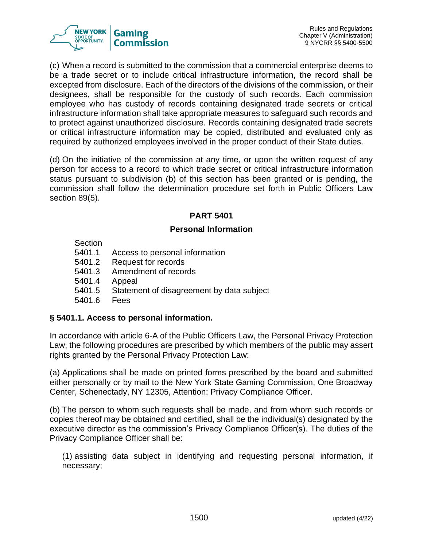

(c) When a record is submitted to the commission that a commercial enterprise deems to be a trade secret or to include critical infrastructure information, the record shall be excepted from disclosure. Each of the directors of the divisions of the commission, or their designees, shall be responsible for the custody of such records. Each commission employee who has custody of records containing designated trade secrets or critical infrastructure information shall take appropriate measures to safeguard such records and to protect against unauthorized disclosure. Records containing designated trade secrets or critical infrastructure information may be copied, distributed and evaluated only as required by authorized employees involved in the proper conduct of their State duties.

(d) On the initiative of the commission at any time, or upon the written request of any person for access to a record to which trade secret or critical infrastructure information status pursuant to subdivision (b) of this section has been granted or is pending, the commission shall follow the determination procedure set forth in Public Officers Law section 89(5).

### **PART 5401**

### **Personal Information**

**Section** 

- 5401.1 Access to personal information
- 5401.2 Request for records
- 5401.3 Amendment of records
- 5401.4 Appeal
- 5401.5 Statement of disagreement by data subject
- 5401.6 Fees

### **§ 5401.1. Access to personal information.**

In accordance with article 6-A of the Public Officers Law, the Personal Privacy Protection Law, the following procedures are prescribed by which members of the public may assert rights granted by the Personal Privacy Protection Law:

(a) Applications shall be made on printed forms prescribed by the board and submitted either personally or by mail to the New York State Gaming Commission, One Broadway Center, Schenectady, NY 12305, Attention: Privacy Compliance Officer.

(b) The person to whom such requests shall be made, and from whom such records or copies thereof may be obtained and certified, shall be the individual(s) designated by the executive director as the commission's Privacy Compliance Officer(s). The duties of the Privacy Compliance Officer shall be:

(1) assisting data subject in identifying and requesting personal information, if necessary;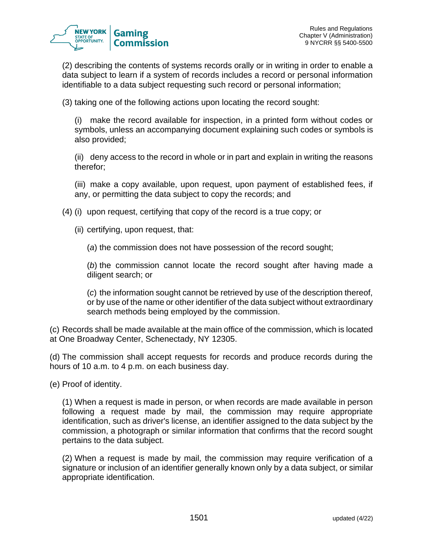

(2) describing the contents of systems records orally or in writing in order to enable a data subject to learn if a system of records includes a record or personal information identifiable to a data subject requesting such record or personal information;

(3) taking one of the following actions upon locating the record sought:

(i) make the record available for inspection, in a printed form without codes or symbols, unless an accompanying document explaining such codes or symbols is also provided;

(ii) deny access to the record in whole or in part and explain in writing the reasons therefor;

(iii) make a copy available, upon request, upon payment of established fees, if any, or permitting the data subject to copy the records; and

(4) (i) upon request, certifying that copy of the record is a true copy; or

(ii) certifying, upon request, that:

(*a*) the commission does not have possession of the record sought;

(*b*) the commission cannot locate the record sought after having made a diligent search; or

(*c*) the information sought cannot be retrieved by use of the description thereof, or by use of the name or other identifier of the data subject without extraordinary search methods being employed by the commission.

(c) Records shall be made available at the main office of the commission, which is located at One Broadway Center, Schenectady, NY 12305.

(d) The commission shall accept requests for records and produce records during the hours of 10 a.m. to 4 p.m. on each business day.

(e) Proof of identity.

(1) When a request is made in person, or when records are made available in person following a request made by mail, the commission may require appropriate identification, such as driver's license, an identifier assigned to the data subject by the commission, a photograph or similar information that confirms that the record sought pertains to the data subject.

(2) When a request is made by mail, the commission may require verification of a signature or inclusion of an identifier generally known only by a data subject, or similar appropriate identification.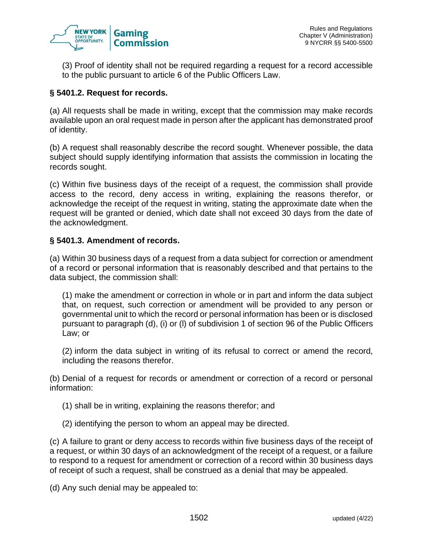

(3) Proof of identity shall not be required regarding a request for a record accessible to the public pursuant to article 6 of the Public Officers Law.

### **§ 5401.2. Request for records.**

(a) All requests shall be made in writing, except that the commission may make records available upon an oral request made in person after the applicant has demonstrated proof of identity.

(b) A request shall reasonably describe the record sought. Whenever possible, the data subject should supply identifying information that assists the commission in locating the records sought.

(c) Within five business days of the receipt of a request, the commission shall provide access to the record, deny access in writing, explaining the reasons therefor, or acknowledge the receipt of the request in writing, stating the approximate date when the request will be granted or denied, which date shall not exceed 30 days from the date of the acknowledgment.

### **§ 5401.3. Amendment of records.**

(a) Within 30 business days of a request from a data subject for correction or amendment of a record or personal information that is reasonably described and that pertains to the data subject, the commission shall:

(1) make the amendment or correction in whole or in part and inform the data subject that, on request, such correction or amendment will be provided to any person or governmental unit to which the record or personal information has been or is disclosed pursuant to paragraph (d), (i) or (l) of subdivision 1 of [section 96 of the Public Officers](https://www.lexis.com/research/buttonTFLink?_m=8a3419a2d959bf0e64afa84dd783a1f5&_xfercite=%3ccite%20cc%3d%22USA%22%3e%3c%21%5bCDATA%5b9%20NYCRR%20%a7%205401.3%5d%5d%3e%3c%2fcite%3e&_butType=4&_butStat=0&_butNum=1&_butInline=1&_butinfo=NY%20PUB%20O%2096&_fmtstr=FULL&docnum=1&_startdoc=1&wchp=dGLzVzt-zSkAb&_md5=659331c3c6c8d08174337d33d00e60e6)  [Law;](https://www.lexis.com/research/buttonTFLink?_m=8a3419a2d959bf0e64afa84dd783a1f5&_xfercite=%3ccite%20cc%3d%22USA%22%3e%3c%21%5bCDATA%5b9%20NYCRR%20%a7%205401.3%5d%5d%3e%3c%2fcite%3e&_butType=4&_butStat=0&_butNum=1&_butInline=1&_butinfo=NY%20PUB%20O%2096&_fmtstr=FULL&docnum=1&_startdoc=1&wchp=dGLzVzt-zSkAb&_md5=659331c3c6c8d08174337d33d00e60e6) or

(2) inform the data subject in writing of its refusal to correct or amend the record, including the reasons therefor.

(b) Denial of a request for records or amendment or correction of a record or personal information:

- (1) shall be in writing, explaining the reasons therefor; and
- (2) identifying the person to whom an appeal may be directed.

(c) A failure to grant or deny access to records within five business days of the receipt of a request, or within 30 days of an acknowledgment of the receipt of a request, or a failure to respond to a request for amendment or correction of a record within 30 business days of receipt of such a request, shall be construed as a denial that may be appealed.

(d) Any such denial may be appealed to: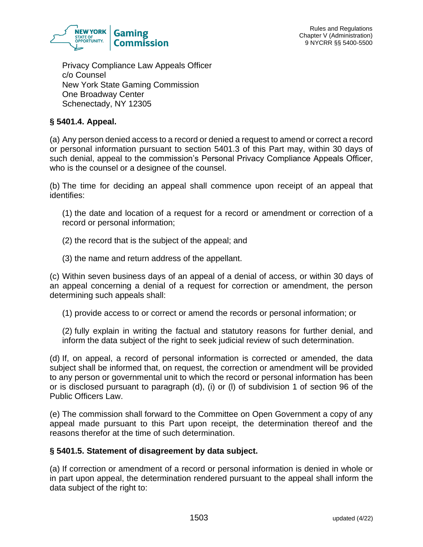

Privacy Compliance Law Appeals Officer c/o Counsel New York State Gaming Commission One Broadway Center Schenectady, NY 12305

## **§ 5401.4. Appeal.**

(a) Any person denied access to a record or denied a request to amend or correct a record or personal information pursuant to section 5401.3 of this Part may, within 30 days of such denial, appeal to the commission's Personal Privacy Compliance Appeals Officer, who is the counsel or a designee of the counsel.

(b) The time for deciding an appeal shall commence upon receipt of an appeal that identifies:

(1) the date and location of a request for a record or amendment or correction of a record or personal information;

- (2) the record that is the subject of the appeal; and
- (3) the name and return address of the appellant.

(c) Within seven business days of an appeal of a denial of access, or within 30 days of an appeal concerning a denial of a request for correction or amendment, the person determining such appeals shall:

(1) provide access to or correct or amend the records or personal information; or

(2) fully explain in writing the factual and statutory reasons for further denial, and inform the data subject of the right to seek judicial review of such determination.

(d) If, on appeal, a record of personal information is corrected or amended, the data subject shall be informed that, on request, the correction or amendment will be provided to any person or governmental unit to which the record or personal information has been or is disclosed pursuant to paragraph (d), (i) or (l) of subdivision 1 of [section 96 of the](https://www.lexis.com/research/buttonTFLink?_m=d7a1d54834aa154d2634625228c7b581&_xfercite=%3ccite%20cc%3d%22USA%22%3e%3c%21%5bCDATA%5b9%20NYCRR%20%a7%205401.4%5d%5d%3e%3c%2fcite%3e&_butType=4&_butStat=0&_butNum=1&_butInline=1&_butinfo=NY%20PUB%20O%2096&_fmtstr=FULL&docnum=1&_startdoc=1&wchp=dGLzVzt-zSkAb&_md5=353babefd3bac6df7edaa977ae4ad6c9)  [Public Officers Law.](https://www.lexis.com/research/buttonTFLink?_m=d7a1d54834aa154d2634625228c7b581&_xfercite=%3ccite%20cc%3d%22USA%22%3e%3c%21%5bCDATA%5b9%20NYCRR%20%a7%205401.4%5d%5d%3e%3c%2fcite%3e&_butType=4&_butStat=0&_butNum=1&_butInline=1&_butinfo=NY%20PUB%20O%2096&_fmtstr=FULL&docnum=1&_startdoc=1&wchp=dGLzVzt-zSkAb&_md5=353babefd3bac6df7edaa977ae4ad6c9)

(e) The commission shall forward to the Committee on Open Government a copy of any appeal made pursuant to this Part upon receipt, the determination thereof and the reasons therefor at the time of such determination.

#### **§ 5401.5. Statement of disagreement by data subject.**

(a) If correction or amendment of a record or personal information is denied in whole or in part upon appeal, the determination rendered pursuant to the appeal shall inform the data subject of the right to: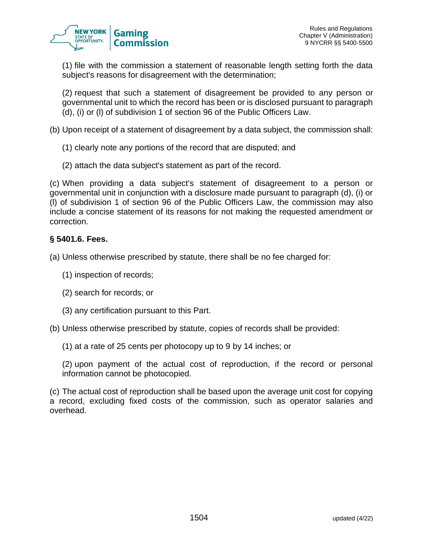(1) file with the commission a statement of reasonable length setting forth the data subject's reasons for disagreement with the determination;

(2) request that such a statement of disagreement be provided to any person or governmental unit to which the record has been or is disclosed pursuant to paragraph (d), (i) or (l) of subdivision 1 of [section 96 of the Public Officers Law.](https://www.lexis.com/research/buttonTFLink?_m=f4610d62730bd5ec51db2cec1154003f&_xfercite=%3ccite%20cc%3d%22USA%22%3e%3c%21%5bCDATA%5b9%20NYCRR%20%a7%205401.5%5d%5d%3e%3c%2fcite%3e&_butType=4&_butStat=0&_butNum=1&_butInline=1&_butinfo=NY%20PUB%20O%2096&_fmtstr=FULL&docnum=1&_startdoc=1&wchp=dGLzVzt-zSkAb&_md5=d5a8a2ade066ff08a915d66c2f56595f)

- (b) Upon receipt of a statement of disagreement by a data subject, the commission shall:
	- (1) clearly note any portions of the record that are disputed; and
	- (2) attach the data subject's statement as part of the record.

(c) When providing a data subject's statement of disagreement to a person or governmental unit in conjunction with a disclosure made pursuant to paragraph (d), (i) or (l) of subdivision 1 of [section 96 of the Public Officers Law,](https://www.lexis.com/research/buttonTFLink?_m=f4610d62730bd5ec51db2cec1154003f&_xfercite=%3ccite%20cc%3d%22USA%22%3e%3c%21%5bCDATA%5b9%20NYCRR%20%a7%205401.5%5d%5d%3e%3c%2fcite%3e&_butType=4&_butStat=0&_butNum=2&_butInline=1&_butinfo=NY%20PUB%20O%2096&_fmtstr=FULL&docnum=1&_startdoc=1&wchp=dGLzVzt-zSkAb&_md5=5e42c2b83eb659728925bbd913c9563e) the commission may also include a concise statement of its reasons for not making the requested amendment or correction.

## **§ 5401.6. Fees.**

(a) Unless otherwise prescribed by statute, there shall be no fee charged for:

- (1) inspection of records;
- (2) search for records; or
- (3) any certification pursuant to this Part.
- (b) Unless otherwise prescribed by statute, copies of records shall be provided:
	- (1) at a rate of 25 cents per photocopy up to 9 by 14 inches; or

(2) upon payment of the actual cost of reproduction, if the record or personal information cannot be photocopied.

(c) The actual cost of reproduction shall be based upon the average unit cost for copying a record, excluding fixed costs of the commission, such as operator salaries and overhead.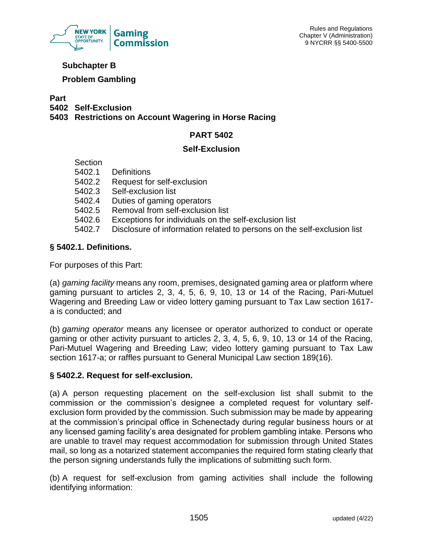

## **Subchapter B**

## **Problem Gambling**

**Part**

**5402 Self-Exclusion**

**5403 Restrictions on Account Wagering in Horse Racing**

## **PART 5402**

### **Self-Exclusion**

**Section** 

|        | 5402.1 Definitions                      |
|--------|-----------------------------------------|
| 5402.2 | Request for self-exclusion              |
|        | 5402.3 Self-exclusion list              |
|        | 5402.4 Duties of gaming operators       |
|        | 5402.5 Removal from self-exclusion list |
| -      |                                         |

- 5402.6 Exceptions for individuals on the self-exclusion list
- 5402.7 Disclosure of information related to persons on the self-exclusion list

# **§ 5402.1. Definitions.**

For purposes of this Part:

(a) *gaming facility* means any room, premises, designated gaming area or platform where gaming pursuant to articles 2, 3, 4, 5, 6, 9, 10, 13 or 14 of the Racing, Pari-Mutuel Wagering and Breeding Law or video lottery gaming pursuant to Tax Law section 1617 a is conducted; and

(b) *gaming operator* means any licensee or operator authorized to conduct or operate gaming or other activity pursuant to articles 2, 3, 4, 5, 6, 9, 10, 13 or 14 of the Racing, Pari-Mutuel Wagering and Breeding Law; video lottery gaming pursuant to Tax Law section 1617-a; or raffles pursuant to General Municipal Law section 189(16).

# **§ 5402.2. Request for self-exclusion.**

(a) A person requesting placement on the self-exclusion list shall submit to the commission or the commission's designee a completed request for voluntary selfexclusion form provided by the commission. Such submission may be made by appearing at the commission's principal office in Schenectady during regular business hours or at any licensed gaming facility's area designated for problem gambling intake. Persons who are unable to travel may request accommodation for submission through United States mail, so long as a notarized statement accompanies the required form stating clearly that the person signing understands fully the implications of submitting such form.

(b) A request for self-exclusion from gaming activities shall include the following identifying information: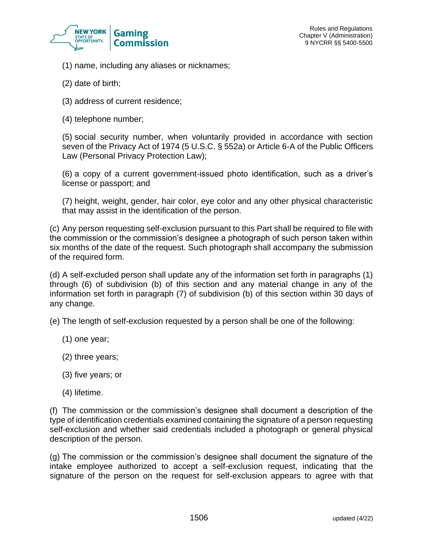

- (1) name, including any aliases or nicknames;
- (2) date of birth;
- (3) address of current residence;
- (4) telephone number;

(5) social security number, when voluntarily provided in accordance with section seven of the Privacy Act of 1974 (5 U.S.C. § 552a) or Article 6-A of the Public Officers Law (Personal Privacy Protection Law);

(6) a copy of a current government-issued photo identification, such as a driver's license or passport; and

(7) height, weight, gender, hair color, eye color and any other physical characteristic that may assist in the identification of the person.

(c) Any person requesting self-exclusion pursuant to this Part shall be required to file with the commission or the commission's designee a photograph of such person taken within six months of the date of the request. Such photograph shall accompany the submission of the required form.

(d) A self-excluded person shall update any of the information set forth in paragraphs (1) through (6) of subdivision (b) of this section and any material change in any of the information set forth in paragraph (7) of subdivision (b) of this section within 30 days of any change.

(e) The length of self-exclusion requested by a person shall be one of the following:

- (1) one year;
- (2) three years;
- (3) five years; or
- (4) lifetime.

(f) The commission or the commission's designee shall document a description of the type of identification credentials examined containing the signature of a person requesting self-exclusion and whether said credentials included a photograph or general physical description of the person.

(g) The commission or the commission's designee shall document the signature of the intake employee authorized to accept a self-exclusion request, indicating that the signature of the person on the request for self-exclusion appears to agree with that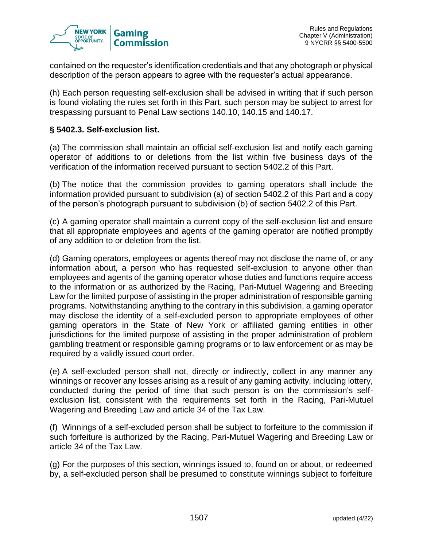

contained on the requester's identification credentials and that any photograph or physical description of the person appears to agree with the requester's actual appearance.

(h) Each person requesting self-exclusion shall be advised in writing that if such person is found violating the rules set forth in this Part, such person may be subject to arrest for trespassing pursuant to Penal Law sections 140.10, 140.15 and 140.17.

#### **§ 5402.3. Self-exclusion list.**

(a) The commission shall maintain an official self-exclusion list and notify each gaming operator of additions to or deletions from the list within five business days of the verification of the information received pursuant to section 5402.2 of this Part.

(b) The notice that the commission provides to gaming operators shall include the information provided pursuant to subdivision (a) of section 5402.2 of this Part and a copy of the person's photograph pursuant to subdivision (b) of section 5402.2 of this Part.

(c) A gaming operator shall maintain a current copy of the self-exclusion list and ensure that all appropriate employees and agents of the gaming operator are notified promptly of any addition to or deletion from the list.

(d) Gaming operators, employees or agents thereof may not disclose the name of, or any information about, a person who has requested self-exclusion to anyone other than employees and agents of the gaming operator whose duties and functions require access to the information or as authorized by the Racing, Pari-Mutuel Wagering and Breeding Law for the limited purpose of assisting in the proper administration of responsible gaming programs. Notwithstanding anything to the contrary in this subdivision, a gaming operator may disclose the identity of a self-excluded person to appropriate employees of other gaming operators in the State of New York or affiliated gaming entities in other jurisdictions for the limited purpose of assisting in the proper administration of problem gambling treatment or responsible gaming programs or to law enforcement or as may be required by a validly issued court order.

(e) A self-excluded person shall not, directly or indirectly, collect in any manner any winnings or recover any losses arising as a result of any gaming activity, including lottery, conducted during the period of time that such person is on the commission's selfexclusion list, consistent with the requirements set forth in the Racing, Pari-Mutuel Wagering and Breeding Law and article 34 of the Tax Law.

(f) Winnings of a self-excluded person shall be subject to forfeiture to the commission if such forfeiture is authorized by the Racing, Pari-Mutuel Wagering and Breeding Law or article 34 of the Tax Law.

(g) For the purposes of this section, winnings issued to, found on or about, or redeemed by, a self-excluded person shall be presumed to constitute winnings subject to forfeiture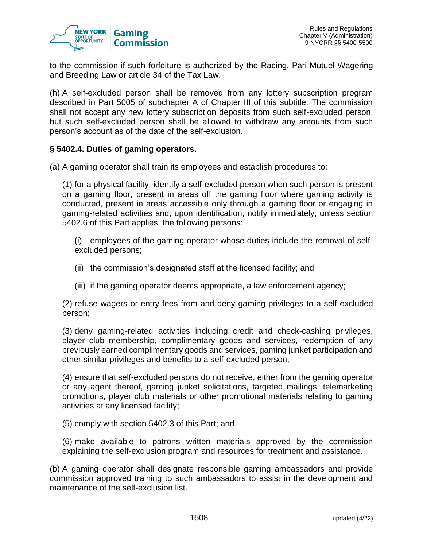

to the commission if such forfeiture is authorized by the Racing, Pari-Mutuel Wagering and Breeding Law or article 34 of the Tax Law.

(h) A self-excluded person shall be removed from any lottery subscription program described in Part 5005 of subchapter A of Chapter III of this subtitle. The commission shall not accept any new lottery subscription deposits from such self-excluded person, but such self-excluded person shall be allowed to withdraw any amounts from such person's account as of the date of the self-exclusion.

#### **§ 5402.4. Duties of gaming operators.**

(a) A gaming operator shall train its employees and establish procedures to:

(1) for a physical facility, identify a self-excluded person when such person is present on a gaming floor, present in areas off the gaming floor where gaming activity is conducted, present in areas accessible only through a gaming floor or engaging in gaming-related activities and, upon identification, notify immediately, unless section 5402.6 of this Part applies, the following persons:

(i) employees of the gaming operator whose duties include the removal of selfexcluded persons;

- (ii) the commission's designated staff at the licensed facility; and
- (iii) if the gaming operator deems appropriate, a law enforcement agency;

(2) refuse wagers or entry fees from and deny gaming privileges to a self-excluded person;

(3) deny gaming-related activities including credit and check-cashing privileges, player club membership, complimentary goods and services, redemption of any previously earned complimentary goods and services, gaming junket participation and other similar privileges and benefits to a self-excluded person;

(4) ensure that self-excluded persons do not receive, either from the gaming operator or any agent thereof, gaming junket solicitations, targeted mailings, telemarketing promotions, player club materials or other promotional materials relating to gaming activities at any licensed facility;

(5) comply with section 5402.3 of this Part; and

(6) make available to patrons written materials approved by the commission explaining the self-exclusion program and resources for treatment and assistance.

(b) A gaming operator shall designate responsible gaming ambassadors and provide commission approved training to such ambassadors to assist in the development and maintenance of the self-exclusion list.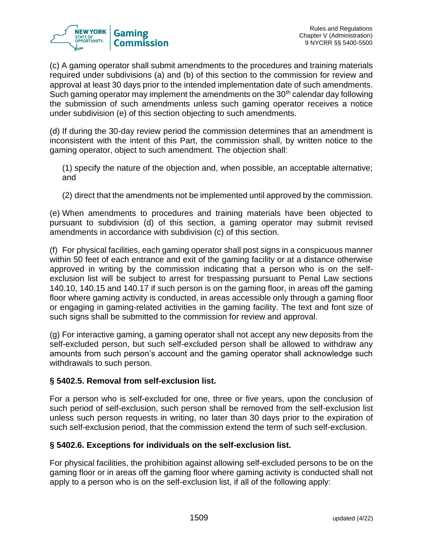

(c) A gaming operator shall submit amendments to the procedures and training materials required under subdivisions (a) and (b) of this section to the commission for review and approval at least 30 days prior to the intended implementation date of such amendments. Such gaming operator may implement the amendments on the  $30<sup>th</sup>$  calendar day following the submission of such amendments unless such gaming operator receives a notice under subdivision (e) of this section objecting to such amendments.

(d) If during the 30-day review period the commission determines that an amendment is inconsistent with the intent of this Part, the commission shall, by written notice to the gaming operator, object to such amendment. The objection shall:

(1) specify the nature of the objection and, when possible, an acceptable alternative; and

(2) direct that the amendments not be implemented until approved by the commission.

(e) When amendments to procedures and training materials have been objected to pursuant to subdivision (d) of this section, a gaming operator may submit revised amendments in accordance with subdivision (c) of this section.

(f) For physical facilities, each gaming operator shall post signs in a conspicuous manner within 50 feet of each entrance and exit of the gaming facility or at a distance otherwise approved in writing by the commission indicating that a person who is on the selfexclusion list will be subject to arrest for trespassing pursuant to Penal Law sections 140.10, 140.15 and 140.17 if such person is on the gaming floor, in areas off the gaming floor where gaming activity is conducted, in areas accessible only through a gaming floor or engaging in gaming-related activities in the gaming facility. The text and font size of such signs shall be submitted to the commission for review and approval.

(g) For interactive gaming, a gaming operator shall not accept any new deposits from the self-excluded person, but such self-excluded person shall be allowed to withdraw any amounts from such person's account and the gaming operator shall acknowledge such withdrawals to such person.

### **§ 5402.5. Removal from self-exclusion list.**

For a person who is self-excluded for one, three or five years, upon the conclusion of such period of self-exclusion, such person shall be removed from the self-exclusion list unless such person requests in writing, no later than 30 days prior to the expiration of such self-exclusion period, that the commission extend the term of such self-exclusion.

### **§ 5402.6. Exceptions for individuals on the self-exclusion list.**

For physical facilities, the prohibition against allowing self-excluded persons to be on the gaming floor or in areas off the gaming floor where gaming activity is conducted shall not apply to a person who is on the self-exclusion list, if all of the following apply: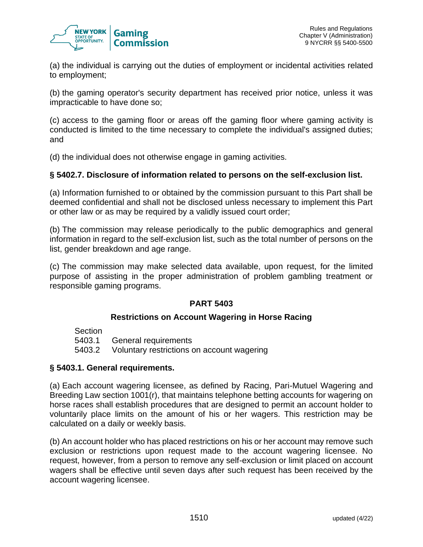

(a) the individual is carrying out the duties of employment or incidental activities related to employment;

(b) the gaming operator's security department has received prior notice, unless it was impracticable to have done so;

(c) access to the gaming floor or areas off the gaming floor where gaming activity is conducted is limited to the time necessary to complete the individual's assigned duties; and

(d) the individual does not otherwise engage in gaming activities.

#### **§ 5402.7. Disclosure of information related to persons on the self-exclusion list.**

(a) Information furnished to or obtained by the commission pursuant to this Part shall be deemed confidential and shall not be disclosed unless necessary to implement this Part or other law or as may be required by a validly issued court order;

(b) The commission may release periodically to the public demographics and general information in regard to the self-exclusion list, such as the total number of persons on the list, gender breakdown and age range.

(c) The commission may make selected data available, upon request, for the limited purpose of assisting in the proper administration of problem gambling treatment or responsible gaming programs.

### **PART 5403**

#### **Restrictions on Account Wagering in Horse Racing**

| Section |                                                   |
|---------|---------------------------------------------------|
|         | 5403.1 General requirements                       |
|         | 5403.2 Voluntary restrictions on account wagering |

#### **§ 5403.1. General requirements.**

(a) Each account wagering licensee, as defined by Racing, Pari-Mutuel Wagering and Breeding Law section 1001(r), that maintains telephone betting accounts for wagering on horse races shall establish procedures that are designed to permit an account holder to voluntarily place limits on the amount of his or her wagers. This restriction may be calculated on a daily or weekly basis.

(b) An account holder who has placed restrictions on his or her account may remove such exclusion or restrictions upon request made to the account wagering licensee. No request, however, from a person to remove any self-exclusion or limit placed on account wagers shall be effective until seven days after such request has been received by the account wagering licensee.